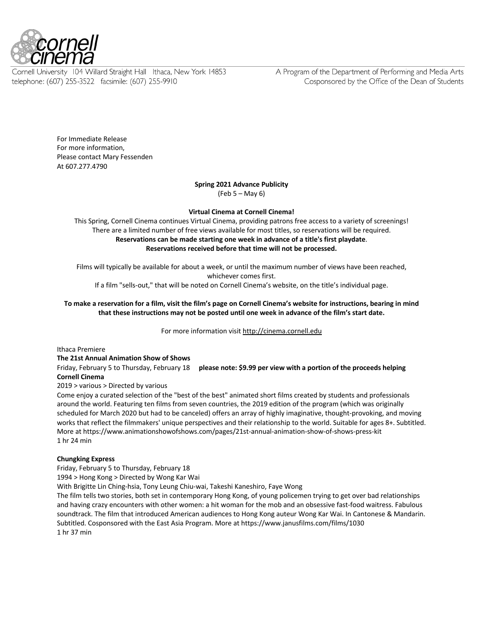

Cornell University 104 Willard Straight Hall Ithaca, New York 14853 telephone: (607) 255-3522 facsimile: (607) 255-9910

A Program of the Department of Performing and Media Arts Cosponsored by the Office of the Dean of Students

For Immediate Release For more information, Please contact Mary Fessenden At 607.277.4790

### **Spring 2021 Advance Publicity**

(Feb 5 – May 6)

## **Virtual Cinema at Cornell Cinema!**

This Spring, Cornell Cinema continues Virtual Cinema, providing patrons free access to a variety of screenings! There are a limited number of free views available for most titles, so reservations will be required. **Reservations can be made starting one week in advance of a title's first playdate**. **Reservations received before that time will not be processed.**

Films will typically be available for about a week, or until the maximum number of views have been reached, whichever comes first.

If a film "sells-out," that will be noted on Cornell Cinema's website, on the title's individual page.

# **To make a reservation for a film, visit the film's page on Cornell Cinema's website for instructions, bearing in mind that these instructions may not be posted until one week in advance of the film's start date.**

For more information visit http://cinema.cornell.edu

### Ithaca Premiere

### **The 21st Annual Animation Show of Shows**

Friday, February 5 to Thursday, February 18 **please note: \$9.99 per view with a portion of the proceeds helping Cornell Cinema**

### 2019 > various > Directed by various

Come enjoy a curated selection of the "best of the best" animated short films created by students and professionals around the world. Featuring ten films from seven countries, the 2019 edition of the program (which was originally scheduled for March 2020 but had to be canceled) offers an array of highly imaginative, thought-provoking, and moving works that reflect the filmmakers' unique perspectives and their relationship to the world. Suitable for ages 8+. Subtitled. More at https://www.animationshowofshows.com/pages/21st-annual-animation-show-of-shows-press-kit 1 hr 24 min

### **Chungking Express**

Friday, February 5 to Thursday, February 18

1994 > Hong Kong > Directed by Wong Kar Wai

With Brigitte Lin Ching-hsia, Tony Leung Chiu-wai, Takeshi Kaneshiro, Faye Wong

The film tells two stories, both set in contemporary Hong Kong, of young policemen trying to get over bad relationships and having crazy encounters with other women: a hit woman for the mob and an obsessive fast-food waitress. Fabulous soundtrack. The film that introduced American audiences to Hong Kong auteur Wong Kar Wai. In Cantonese & Mandarin. Subtitled. Cosponsored with the East Asia Program. More at https://www.janusfilms.com/films/1030 1 hr 37 min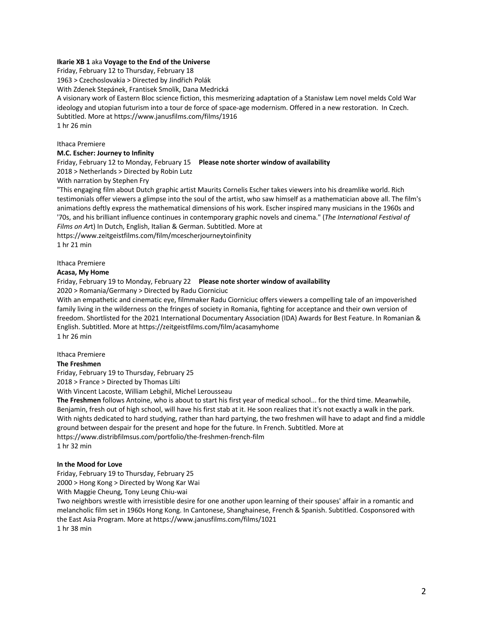### **Ikarie XB 1** aka **Voyage to the End of the Universe**

Friday, February 12 to Thursday, February 18 1963 > Czechoslovakia > Directed by Jindřich Polák With Zdenek Stepánek, Frantisek Smolík, Dana Medrická A visionary work of Eastern Bloc science fiction, this mesmerizing adaptation of a Stanisław Lem novel melds Cold War ideology and utopian futurism into a tour de force of space-age modernism. Offered in a new restoration. In Czech. Subtitled. More at https://www.janusfilms.com/films/1916 1 hr 26 min

Ithaca Premiere

### **M.C. Escher: Journey to Infinity**

Friday, February 12 to Monday, February 15 **Please note shorter window of availability** 2018 > Netherlands > Directed by Robin Lutz

With narration by Stephen Fry

"This engaging film about Dutch graphic artist Maurits Cornelis Escher takes viewers into his dreamlike world. Rich testimonials offer viewers a glimpse into the soul of the artist, who saw himself as a mathematician above all. The film's animations deftly express the mathematical dimensions of his work. Escher inspired many musicians in the 1960s and '70s, and his brilliant influence continues in contemporary graphic novels and cinema." (*The International Festival of Films on Ar*t) In Dutch, English, Italian & German. Subtitled. More at

https://www.zeitgeistfilms.com/film/mcescherjourneytoinfinity 1 hr 21 min

### Ithaca Premiere

### **Acasa, My Home**

Friday, February 19 to Monday, February 22 **Please note shorter window of availability** 2020 > Romania/Germany > Directed by Radu Ciorniciuc

With an empathetic and cinematic eye, filmmaker Radu Ciorniciuc offers viewers a compelling tale of an impoverished family living in the wilderness on the fringes of society in Romania, fighting for acceptance and their own version of freedom. Shortlisted for the 2021 International Documentary Association (IDA) Awards for Best Feature. In Romanian & English. Subtitled. More at https://zeitgeistfilms.com/film/acasamyhome 1 hr 26 min

Ithaca Premiere

### **The Freshmen**

Friday, February 19 to Thursday, February 25

2018 > France > Directed by Thomas Lilti

With Vincent Lacoste, William Lebghil, Michel Lerousseau

**The Freshmen** follows Antoine, who is about to start his first year of medical school... for the third time. Meanwhile, Benjamin, fresh out of high school, will have his first stab at it. He soon realizes that it's not exactly a walk in the park. With nights dedicated to hard studying, rather than hard partying, the two freshmen will have to adapt and find a middle ground between despair for the present and hope for the future. In French. Subtitled. More at https://www.distribfilmsus.com/portfolio/the-freshmen-french-film 1 hr 32 min

### **In the Mood for Love**

Friday, February 19 to Thursday, February 25 2000 > Hong Kong > Directed by Wong Kar Wai

With Maggie Cheung, Tony Leung Chiu-wai

Two neighbors wrestle with irresistible desire for one another upon learning of their spouses' affair in a romantic and melancholic film set in 1960s Hong Kong. In Cantonese, Shanghainese, French & Spanish. Subtitled. Cosponsored with the East Asia Program. More at https://www.janusfilms.com/films/1021 1 hr 38 min

2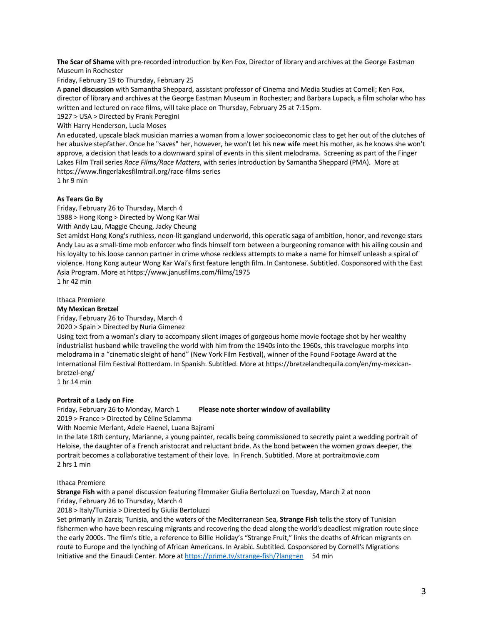**The Scar of Shame** with pre-recorded introduction by Ken Fox, Director of library and archives at the George Eastman Museum in Rochester

Friday, February 19 to Thursday, February 25

A **panel discussion** with Samantha Sheppard, assistant professor of Cinema and Media Studies at Cornell; Ken Fox, director of library and archives at the George Eastman Museum in Rochester; and Barbara Lupack, a film scholar who has written and lectured on race films, will take place on Thursday, February 25 at 7:15pm.

1927 > USA > Directed by Frank Peregini

With Harry Henderson, Lucia Moses

An educated, upscale black musician marries a woman from a lower socioeconomic class to get her out of the clutches of her abusive stepfather. Once he "saves" her, however, he won't let his new wife meet his mother, as he knows she won't approve, a decision that leads to a downward spiral of events in this silent melodrama. Screening as part of the Finger Lakes Film Trail series *Race Films/Race Matters*, with series introduction by Samantha Sheppard (PMA). More at https://www.fingerlakesfilmtrail.org/race-films-series

1 hr 9 min

## **As Tears Go By**

Friday, February 26 to Thursday, March 4

1988 > Hong Kong > Directed by Wong Kar Wai

With Andy Lau, Maggie Cheung, Jacky Cheung

Set amidst Hong Kong's ruthless, neon-lit gangland underworld, this operatic saga of ambition, honor, and revenge stars Andy Lau as a small-time mob enforcer who finds himself torn between a burgeoning romance with his ailing cousin and his loyalty to his loose cannon partner in crime whose reckless attempts to make a name for himself unleash a spiral of violence. Hong Kong auteur Wong Kar Wai's first feature length film. In Cantonese. Subtitled. Cosponsored with the East Asia Program. More at https://www.janusfilms.com/films/1975

1 hr 42 min

# Ithaca Premiere

## **My Mexican Bretzel**

Friday, February 26 to Thursday, March 4

2020 > Spain > Directed by Nuria Gimenez

Using text from a woman's diary to accompany silent images of gorgeous home movie footage shot by her wealthy industrialist husband while traveling the world with him from the 1940s into the 1960s, this travelogue morphs into melodrama in a "cinematic sleight of hand" (New York Film Festival), winner of the Found Footage Award at the International Film Festival Rotterdam. In Spanish. Subtitled. More at https://bretzelandtequila.com/en/my-mexicanbretzel-eng/

1 hr 14 min

### **Portrait of a Lady on Fire**

2019 > France > Directed by Céline Sciamma

### Friday, February 26 to Monday, March 1 **Please note shorter window of availability**

With Noemie Merlant, Adele Haenel, Luana Bajrami

In the late 18th century, Marianne, a young painter, recalls being commissioned to secretly paint a wedding portrait of Heloise, the daughter of a French aristocrat and reluctant bride. As the bond between the women grows deeper, the portrait becomes a collaborative testament of their love. In French. Subtitled. More at portraitmovie.com 2 hrs 1 min

### Ithaca Premiere

**Strange Fish** with a panel discussion featuring filmmaker Giulia Bertoluzzi on Tuesday, March 2 at noon Friday, February 26 to Thursday, March 4

2018 > Italy/Tunisia > Directed by Giulia Bertoluzzi

Set primarily in Zarzis, Tunisia, and the waters of the Mediterranean Sea, **Strange Fish** tells the story of Tunisian fishermen who have been rescuing migrants and recovering the dead along the world's deadliest migration route since the early 2000s. The film's title, a reference to Billie Holiday's "Strange Fruit," links the deaths of African migrants en route to Europe and the lynching of African Americans. In Arabic. Subtitled. Cosponsored by Cornell's Migrations Initiative and the Einaudi Center. More at https://prime.tv/strange-fish/?lang=en 54 min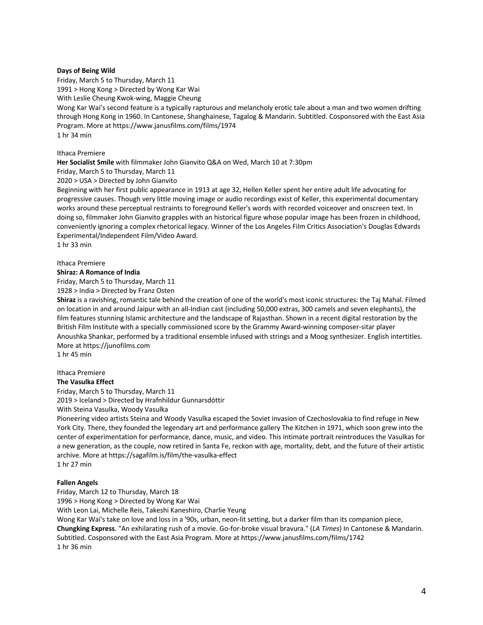### **Days of Being Wild**

Friday, March 5 to Thursday, March 11 1991 > Hong Kong > Directed by Wong Kar Wai With Leslie Cheung Kwok-wing, Maggie Cheung

Wong Kar Wai's second feature is a typically rapturous and melancholy erotic tale about a man and two women drifting through Hong Kong in 1960. In Cantonese, Shanghainese, Tagalog & Mandarin. Subtitled. Cosponsored with the East Asia Program. More at https://www.janusfilms.com/films/1974 1 hr 34 min

Ithaca Premiere

**Her Socialist Smile** with filmmaker John Gianvito Q&A on Wed, March 10 at 7:30pm

Friday, March 5 to Thursday, March 11

2020 > USA > Directed by John Gianvito

Beginning with her first public appearance in 1913 at age 32, Hellen Keller spent her entire adult life advocating for progressive causes. Though very little moving image or audio recordings exist of Keller, this experimental documentary works around these perceptual restraints to foreground Keller's words with recorded voiceover and onscreen text. In doing so, filmmaker John Gianvito grapples with an historical figure whose popular image has been frozen in childhood, conveniently ignoring a complex rhetorical legacy. Winner of the Los Angeles Film Critics Association's Douglas Edwards Experimental/Independent Film/Video Award.

1 hr 33 min

# Ithaca Premiere

**Shiraz: A Romance of India**

Friday, March 5 to Thursday, March 11

1928 > India > Directed by Franz Osten

**Shiraz** is a ravishing, romantic tale behind the creation of one of the world's most iconic structures: the Taj Mahal. Filmed on location in and around Jaipur with an all-Indian cast (including 50,000 extras, 300 camels and seven elephants), the film features stunning Islamic architecture and the landscape of Rajasthan. Shown in a recent digital restoration by the British Film Institute with a specially commissioned score by the Grammy Award-winning composer-sitar player Anoushka Shankar, performed by a traditional ensemble infused with strings and a Moog synthesizer. English intertitles. More at https://junofilms.com

1 hr 45 min

### Ithaca Premiere

**The Vasulka Effect**

Friday, March 5 to Thursday, March 11

2019 > Iceland > Directed by Hrafnhildur Gunnarsdóttir

With Steina Vasulka, Woody Vasulka

Pioneering video artists Steina and Woody Vasulka escaped the Soviet invasion of Czechoslovakia to find refuge in New York City. There, they founded the legendary art and performance gallery The Kitchen in 1971, which soon grew into the center of experimentation for performance, dance, music, and video. This intimate portrait reintroduces the Vasulkas for a new generation, as the couple, now retired in Santa Fe, reckon with age, mortality, debt, and the future of their artistic archive. More at https://sagafilm.is/film/the-vasulka-effect

1 hr 27 min

#### **Fallen Angels**

Friday, March 12 to Thursday, March 18

1996 > Hong Kong > Directed by Wong Kar Wai

With Leon Lai, Michelle Reis, Takeshi Kaneshiro, Charlie Yeung

Wong Kar Wai's take on love and loss in a '90s, urban, neon-lit setting, but a darker film than its companion piece, **Chungking Express**. "An exhilarating rush of a movie. Go-for-broke visual bravura." (*LA Times*) In Cantonese & Mandarin. Subtitled. Cosponsored with the East Asia Program. More at https://www.janusfilms.com/films/1742 1 hr 36 min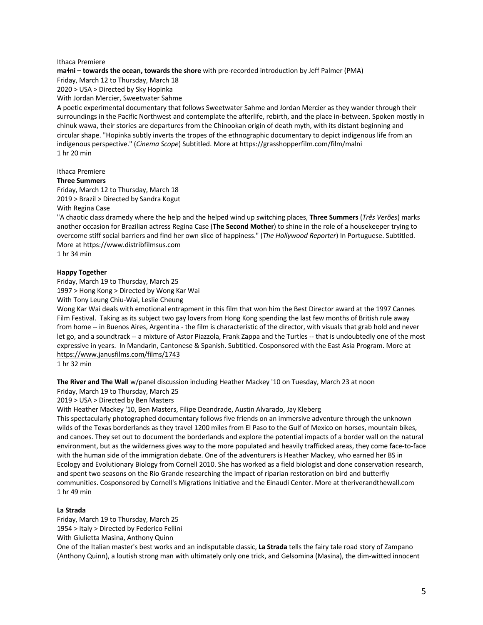### Ithaca Premiere

**maɬni – towards the ocean, towards the shore** with pre-recorded introduction by Jeff Palmer (PMA) Friday, March 12 to Thursday, March 18 2020 > USA > Directed by Sky Hopinka

With Jordan Mercier, Sweetwater Sahme

A poetic experimental documentary that follows Sweetwater Sahme and Jordan Mercier as they wander through their surroundings in the Pacific Northwest and contemplate the afterlife, rebirth, and the place in-between. Spoken mostly in chinuk wawa, their stories are departures from the Chinookan origin of death myth, with its distant beginning and circular shape. "Hopinka subtly inverts the tropes of the ethnographic documentary to depict indigenous life from an indigenous perspective." (*Cinema Scope*) Subtitled. More at https://grasshopperfilm.com/film/malni 1 hr 20 min

# Ithaca Premiere

### **Three Summers**

Friday, March 12 to Thursday, March 18 2019 > Brazil > Directed by Sandra Kogut

With Regina Case

"A chaotic class dramedy where the help and the helped wind up switching places, **Three Summers** (*Três Verões*) marks another occasion for Brazilian actress Regina Case (**The Second Mother**) to shine in the role of a housekeeper trying to overcome stiff social barriers and find her own slice of happiness." (*The Hollywood Reporter*) In Portuguese. Subtitled. More at https://www.distribfilmsus.com

1 hr 34 min

## **Happy Together**

Friday, March 19 to Thursday, March 25

1997 > Hong Kong > Directed by Wong Kar Wai

With Tony Leung Chiu-Wai, Leslie Cheung

Wong Kar Wai deals with emotional entrapment in this film that won him the Best Director award at the 1997 Cannes Film Festival. Taking as its subject two gay lovers from Hong Kong spending the last few months of British rule away from home -- in Buenos Aires, Argentina - the film is characteristic of the director, with visuals that grab hold and never let go, and a soundtrack -- a mixture of Astor Piazzola, Frank Zappa and the Turtles -- that is undoubtedly one of the most expressive in years. In Mandarin, Cantonese & Spanish. Subtitled. Cosponsored with the East Asia Program. More at https://www.janusfilms.com/films/1743

1 hr 32 min

**The River and The Wall** w/panel discussion including Heather Mackey '10 on Tuesday, March 23 at noon

Friday, March 19 to Thursday, March 25

2019 > USA > Directed by Ben Masters

With Heather Mackey '10, Ben Masters, Filipe Deandrade, Austin Alvarado, Jay Kleberg

This spectacularly photographed documentary follows five friends on an immersive adventure through the unknown wilds of the Texas borderlands as they travel 1200 miles from El Paso to the Gulf of Mexico on horses, mountain bikes, and canoes. They set out to document the borderlands and explore the potential impacts of a border wall on the natural environment, but as the wilderness gives way to the more populated and heavily trafficked areas, they come face-to-face with the human side of the immigration debate. One of the adventurers is Heather Mackey, who earned her BS in Ecology and Evolutionary Biology from Cornell 2010. She has worked as a field biologist and done conservation research, and spent two seasons on the Rio Grande researching the impact of riparian restoration on bird and butterfly communities. Cosponsored by Cornell's Migrations Initiative and the Einaudi Center. More at theriverandthewall.com 1 hr 49 min

### **La Strada**

Friday, March 19 to Thursday, March 25

1954 > Italy > Directed by Federico Fellini

With Giulietta Masina, Anthony Quinn

One of the Italian master's best works and an indisputable classic, **La Strada** tells the fairy tale road story of Zampano (Anthony Quinn), a loutish strong man with ultimately only one trick, and Gelsomina (Masina), the dim-witted innocent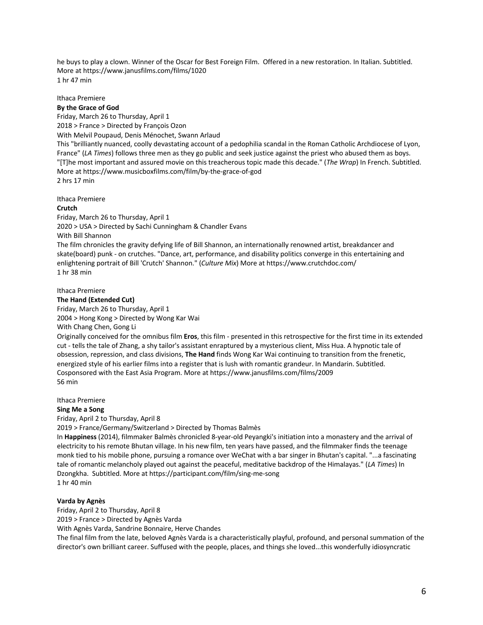he buys to play a clown. Winner of the Oscar for Best Foreign Film. Offered in a new restoration. In Italian. Subtitled. More at https://www.janusfilms.com/films/1020 1 hr 47 min

Ithaca Premiere

### **By the Grace of God**

Friday, March 26 to Thursday, April 1 2018 > France > Directed by François Ozon With Melvil Poupaud, Denis Ménochet, Swann Arlaud This "brilliantly nuanced, coolly devastating account of a pedophilia scandal in the Roman Catholic Archdiocese of Lyon, France" (*LA Times*) follows three men as they go public and seek justice against the priest who abused them as boys. "[T]he most important and assured movie on this treacherous topic made this decade." (*The Wrap*) In French. Subtitled. More at https://www.musicboxfilms.com/film/by-the-grace-of-god 2 hrs 17 min

Ithaca Premiere

### **Crutch**

Friday, March 26 to Thursday, April 1 2020 > USA > Directed by Sachi Cunningham & Chandler Evans With Bill Shannon The film chronicles the gravity defying life of Bill Shannon, an internationally renowned artist, breakdancer and skate(board) punk - on crutches. "Dance, art, performance, and disability politics converge in this entertaining and enlightening portrait of Bill 'Crutch' Shannon." (*Culture Mix*) More at https://www.crutchdoc.com/ 1 hr 38 min

Ithaca Premiere **The Hand (Extended Cut)**

Friday, March 26 to Thursday, April 1

2004 > Hong Kong > Directed by Wong Kar Wai

With Chang Chen, Gong Li

Originally conceived for the omnibus film **Eros**, this film - presented in this retrospective for the first time in its extended cut - tells the tale of Zhang, a shy tailor's assistant enraptured by a mysterious client, Miss Hua. A hypnotic tale of obsession, repression, and class divisions, **The Hand** finds Wong Kar Wai continuing to transition from the frenetic, energized style of his earlier films into a register that is lush with romantic grandeur. In Mandarin. Subtitled. Cosponsored with the East Asia Program. More at https://www.janusfilms.com/films/2009 56 min

Ithaca Premiere **Sing Me a Song** Friday, April 2 to Thursday, April 8

2019 > France/Germany/Switzerland > Directed by Thomas Balmès

In **Happiness** (2014), filmmaker Balmès chronicled 8-year-old Peyangki's initiation into a monastery and the arrival of electricity to his remote Bhutan village. In his new film, ten years have passed, and the filmmaker finds the teenage monk tied to his mobile phone, pursuing a romance over WeChat with a bar singer in Bhutan's capital. "...a fascinating tale of romantic melancholy played out against the peaceful, meditative backdrop of the Himalayas." (*LA Times*) In Dzongkha. Subtitled. More at https://participant.com/film/sing-me-song 1 hr 40 min

### **Varda by Agnès**

Friday, April 2 to Thursday, April 8

2019 > France > Directed by Agnès Varda

With Agnès Varda, Sandrine Bonnaire, Herve Chandes

The final film from the late, beloved Agnès Varda is a characteristically playful, profound, and personal summation of the director's own brilliant career. Suffused with the people, places, and things she loved...this wonderfully idiosyncratic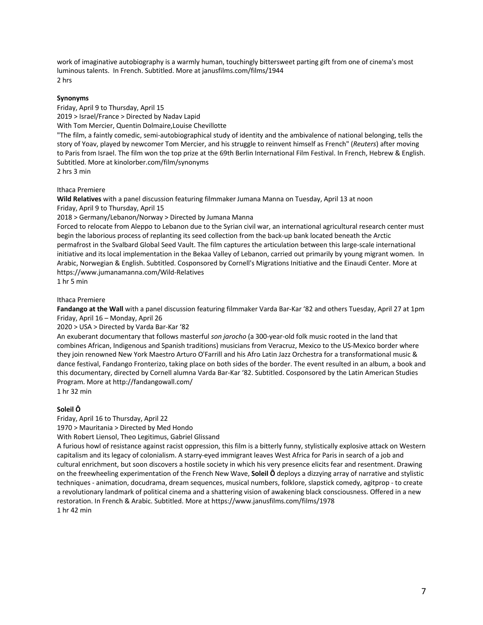work of imaginative autobiography is a warmly human, touchingly bittersweet parting gift from one of cinema's most luminous talents. In French. Subtitled. More at janusfilms.com/films/1944 2 hrs

# **Synonyms**

Friday, April 9 to Thursday, April 15

2019 > Israel/France > Directed by Nadav Lapid

With Tom Mercier, Quentin Dolmaire,Louise Chevillotte

"The film, a faintly comedic, semi-autobiographical study of identity and the ambivalence of national belonging, tells the story of Yoav, played by newcomer Tom Mercier, and his struggle to reinvent himself as French" (*Reuters*) after moving to Paris from Israel. The film won the top prize at the 69th Berlin International Film Festival. In French, Hebrew & English. Subtitled. More at kinolorber.com/film/synonyms 2 hrs 3 min

Ithaca Premiere

**Wild Relatives** with a panel discussion featuring filmmaker Jumana Manna on Tuesday, April 13 at noon Friday, April 9 to Thursday, April 15

2018 > Germany/Lebanon/Norway > Directed by Jumana Manna

Forced to relocate from Aleppo to Lebanon due to the Syrian civil war, an international agricultural research center must begin the laborious process of replanting its seed collection from the back-up bank located beneath the Arctic permafrost in the Svalbard Global Seed Vault. The film captures the articulation between this large-scale international initiative and its local implementation in the Bekaa Valley of Lebanon, carried out primarily by young migrant women. In Arabic, Norwegian & English. Subtitled. Cosponsored by Cornell's Migrations Initiative and the Einaudi Center. More at https://www.jumanamanna.com/Wild-Relatives 1 hr 5 min

# Ithaca Premiere

**Fandango at the Wall** with a panel discussion featuring filmmaker Varda Bar-Kar '82 and others Tuesday, April 27 at 1pm Friday, April 16 – Monday, April 26

2020 > USA > Directed by Varda Bar-Kar '82

An exuberant documentary that follows masterful *son jarocho* (a 300-year-old folk music rooted in the land that combines African, Indigenous and Spanish traditions) musicians from Veracruz, Mexico to the US-Mexico border where they join renowned New York Maestro Arturo O'Farrill and his Afro Latin Jazz Orchestra for a transformational music & dance festival, Fandango Fronterizo, taking place on both sides of the border. The event resulted in an album, a book and this documentary, directed by Cornell alumna Varda Bar-Kar '82. Subtitled. Cosponsored by the Latin American Studies Program. More at http://fandangowall.com/

1 hr 32 min

# **Soleil Ô**

Friday, April 16 to Thursday, April 22

1970 > Mauritania > Directed by Med Hondo

With Robert Liensol, Theo Legitimus, Gabriel Glissand

A furious howl of resistance against racist oppression, this film is a bitterly funny, stylistically explosive attack on Western capitalism and its legacy of colonialism. A starry-eyed immigrant leaves West Africa for Paris in search of a job and cultural enrichment, but soon discovers a hostile society in which his very presence elicits fear and resentment. Drawing on the freewheeling experimentation of the French New Wave, **Soleil Ô** deploys a dizzying array of narrative and stylistic techniques - animation, docudrama, dream sequences, musical numbers, folklore, slapstick comedy, agitprop - to create a revolutionary landmark of political cinema and a shattering vision of awakening black consciousness. Offered in a new restoration. In French & Arabic. Subtitled. More at https://www.janusfilms.com/films/1978 1 hr 42 min